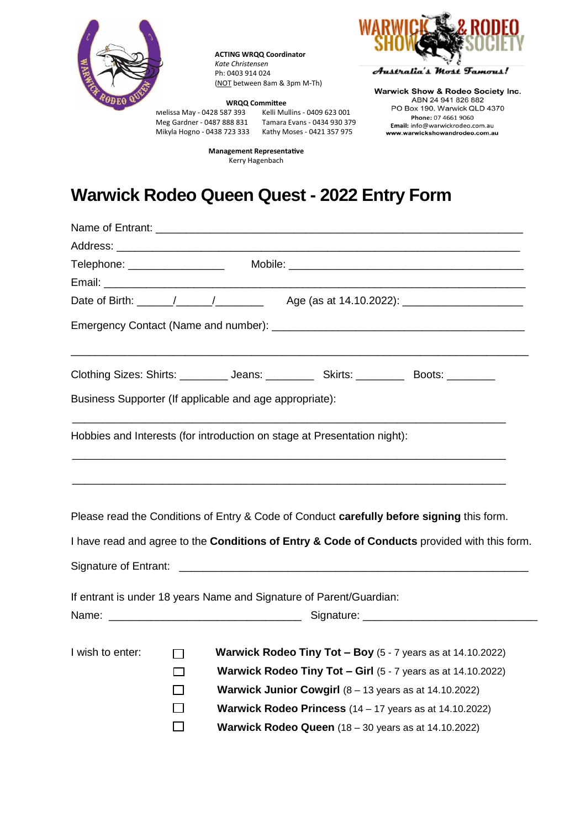

**ACTING WRQQ Coordinator** *Kate Christensen* Ph: 0403 914 024 (NOT between 8am & 3pm M-Th)

**Management Representative** Kerry Hagenbach

Australia's Most Tamous!

Meg Gardner - 0487 888 831

**WRQQ Committee**<br>87 393 Kelli Mullins - 0409 623 001 Melissa May - 0428 587 393 Kelli Mullins - 0409 623 001 Mikyla Hogno - 0438 723 333 Kathy Moses - 0421 357 975

**Warwick Show & Rodeo Society Inc.** ABN 24 941 826 882 PO Box 190, Warwick QLD 4370 Phone: 07 4661 9060 Email: info@warwickrodeo.com.au www.warwickshowandrodeo.com.au

## **Warwick Rodeo Queen Quest - 2022 Entry Form**

| Date of Birth: \______/ _____/ ________________ Age (as at 14.10.2022): \___________________________ |              |  |                                                                          |                                                                                              |  |  |
|------------------------------------------------------------------------------------------------------|--------------|--|--------------------------------------------------------------------------|----------------------------------------------------------------------------------------------|--|--|
|                                                                                                      |              |  |                                                                          |                                                                                              |  |  |
|                                                                                                      |              |  |                                                                          | Clothing Sizes: Shirts: _________ Jeans: __________ Skirts: _________ Boots: ________        |  |  |
| Business Supporter (If applicable and age appropriate):                                              |              |  |                                                                          |                                                                                              |  |  |
|                                                                                                      |              |  | Hobbies and Interests (for introduction on stage at Presentation night): |                                                                                              |  |  |
|                                                                                                      |              |  |                                                                          | Please read the Conditions of Entry & Code of Conduct carefully before signing this form.    |  |  |
|                                                                                                      |              |  |                                                                          | I have read and agree to the Conditions of Entry & Code of Conducts provided with this form. |  |  |
|                                                                                                      |              |  |                                                                          |                                                                                              |  |  |
|                                                                                                      |              |  | If entrant is under 18 years Name and Signature of Parent/Guardian:      |                                                                                              |  |  |
|                                                                                                      |              |  |                                                                          |                                                                                              |  |  |
| I wish to enter:                                                                                     | $\mathbf{I}$ |  |                                                                          | <b>Warwick Rodeo Tiny Tot - Boy</b> $(5 - 7)$ years as at 14.10.2022)                        |  |  |
|                                                                                                      | $\Box$       |  |                                                                          | <b>Warwick Rodeo Tiny Tot - Girl</b> $(5 - 7)$ years as at 14.10.2022)                       |  |  |
|                                                                                                      |              |  |                                                                          | <b>Warwick Junior Cowgirl</b> $(8 - 13$ years as at $14.10.2022$ )                           |  |  |
|                                                                                                      |              |  |                                                                          | <b>Warwick Rodeo Princess</b> $(14 - 17$ years as at $14.10.2022$ )                          |  |  |
|                                                                                                      |              |  |                                                                          | Warwick Rodeo Queen (18 - 30 years as at 14.10.2022)                                         |  |  |